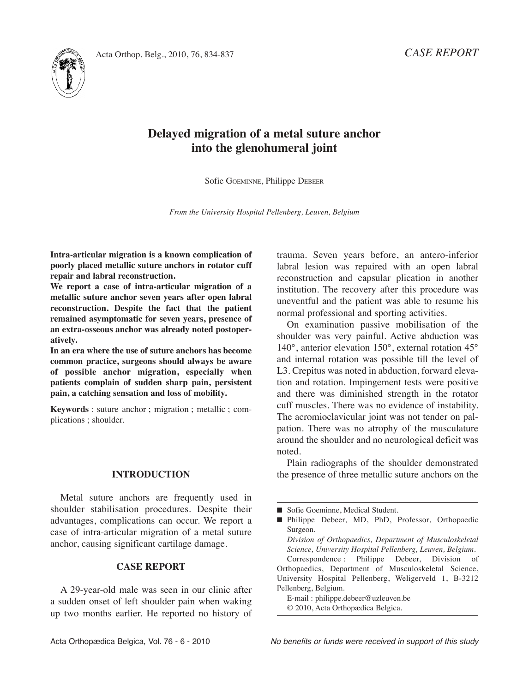

# **Delayed migration of a metal suture anchor into the glenohumeral joint**

Sofie GOEMinnE, Philippe DEBEEr

*From the University Hospital Pellenberg, Leuven, Belgium*

**Intra-articular migration is a known complication of poorly placed metallic suture anchors in rotator cuff repair and labral reconstruction.**

**We report a case of intra-articular migration of a metallic suture anchor seven years after open labral reconstruction. Despite the fact that the patient remained asymptomatic for seven years, presence of an extra-osseous anchor was already noted postoperatively.**

**In an era where the use of suture anchors has become common practice, surgeons should always be aware of possible anchor migration, especially when patients complain of sudden sharp pain, persistent pain, a catching sensation and loss of mobility.**

**Keywords** : suture anchor ; migration ; metallic ; complications ; shoulder.

#### **INTRODUCTION**

Metal suture anchors are frequently used in shoulder stabilisation procedures. Despite their advantages, complications can occur. We report a case of intra-articular migration of a metal suture anchor, causing significant cartilage damage.

# **CASE REPORT**

A 29-year-old male was seen in our clinic after a sudden onset of left shoulder pain when waking up two months earlier. He reported no history of trauma. Seven years before, an antero-inferior labral lesion was repaired with an open labral reconstruction and capsular plication in another institution. The recovery after this procedure was uneventful and the patient was able to resume his normal professional and sporting activities.

On examination passive mobilisation of the shoulder was very painful. Active abduction was 140°, anterior elevation 150°, external rotation 45° and internal rotation was possible till the level of L3. Crepitus was noted in abduction, forward elevation and rotation. Impingement tests were positive and there was diminished strength in the rotator cuff muscles. There was no evidence of instability. The acromioclavicular joint was not tender on palpation. There was no atrophy of the musculature around the shoulder and no neurological deficit was noted.

Plain radiographs of the shoulder demonstrated the presence of three metallic suture anchors on the

Correspondence : Philippe Debeer, Division of Orthopaedics, Department of Musculoskeletal Science, University Hospital Pellenberg, Weligerveld 1, B-3212 Pellenberg, Belgium.

E-mail : philippe.debeer@uzleuven.be © 2010, Acta Orthopædica Belgica.

<sup>■</sup> Sofie Goeminne, Medical Student.

<sup>■</sup> Philippe Debeer, MD, PhD, Professor, Orthopaedic Surgeon.

*Division of Orthopaedics, Department of Musculoskeletal Science, University Hospital Pellenberg, Leuven, Belgium.*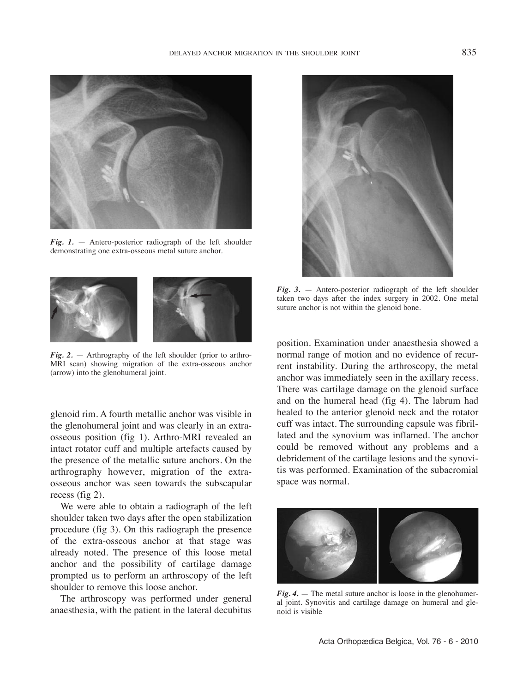

*Fig. 1.* — Antero-posterior radiograph of the left shoulder demonstrating one extra-osseous metal suture anchor.



*Fig. 2.* — Arthrography of the left shoulder (prior to arthro-MRI scan) showing migration of the extra-osseous anchor (arrow) into the glenohumeral joint.

glenoid rim. A fourth metallic anchor was visible in the glenohumeral joint and was clearly in an extraosseous position (fig 1). Arthro-MRI revealed an intact rotator cuff and multiple artefacts caused by the presence of the metallic suture anchors. On the arthrography however, migration of the extraosseous anchor was seen towards the subscapular recess (fig 2).

We were able to obtain a radiograph of the left shoulder taken two days after the open stabilization procedure (fig 3). On this radiograph the presence of the extra-osseous anchor at that stage was already noted. The presence of this loose metal anchor and the possibility of cartilage damage prompted us to perform an arthroscopy of the left shoulder to remove this loose anchor.

The arthroscopy was performed under general anaesthesia, with the patient in the lateral decubitus



*Fig. 3.* — Antero-posterior radiograph of the left shoulder taken two days after the index surgery in 2002. One metal suture anchor is not within the glenoid bone.

position. Examination under anaesthesia showed a normal range of motion and no evidence of recurrent instability. During the arthroscopy, the metal anchor was immediately seen in the axillary recess. There was cartilage damage on the glenoid surface and on the humeral head (fig 4). The labrum had healed to the anterior glenoid neck and the rotator cuff was intact. The surrounding capsule was fibrillated and the synovium was inflamed. The anchor could be removed without any problems and a debridement of the cartilage lesions and the synovitis was performed. Examination of the subacromial space was normal.



*Fig. 4.* — The metal suture anchor is loose in the glenohumeral joint. Synovitis and cartilage damage on humeral and glenoid is visible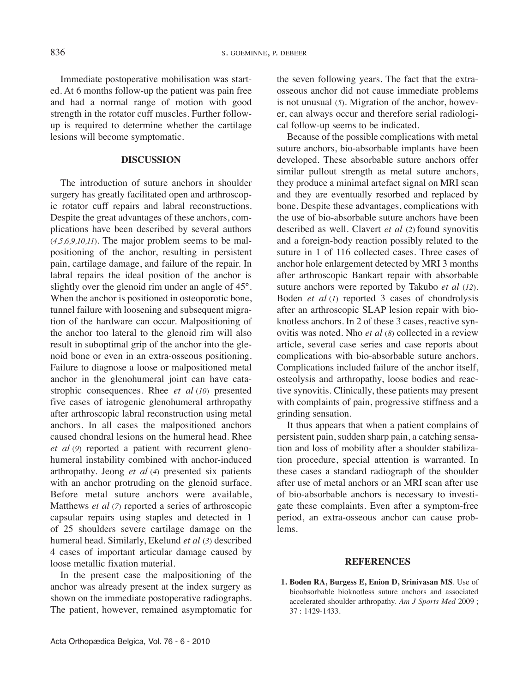Immediate postoperative mobilisation was started. At 6 months follow-up the patient was pain free and had a normal range of motion with good strength in the rotator cuff muscles. Further followup is required to determine whether the cartilage lesions will become symptomatic.

## **DISCUSSION**

The introduction of suture anchors in shoulder surgery has greatly facilitated open and arthroscopic rotator cuff repairs and labral reconstructions. Despite the great advantages of these anchors, complications have been described by several authors (*4,5,6,9,10,11*). The major problem seems to be malpositioning of the anchor, resulting in persistent pain, cartilage damage, and failure of the repair. In labral repairs the ideal position of the anchor is slightly over the glenoid rim under an angle of 45°. When the anchor is positioned in osteoporotic bone, tunnel failure with loosening and subsequent migration of the hardware can occur. Malpositioning of the anchor too lateral to the glenoid rim will also result in suboptimal grip of the anchor into the glenoid bone or even in an extra-osseous positioning. Failure to diagnose a loose or malpositioned metal anchor in the glenohumeral joint can have catastrophic consequences. Rhee *et al* (*10*) presented five cases of iatrogenic glenohumeral arthropathy after arthroscopic labral reconstruction using metal anchors. in all cases the malpositioned anchors caused chondral lesions on the humeral head. Rhee *et al* (*9*) reported a patient with recurrent glenohumeral instability combined with anchor-induced arthropathy. jeong *et al* (*4*) presented six patients with an anchor protruding on the glenoid surface. Before metal suture anchors were available, Matthews *et al* (*7*) reported a series of arthroscopic capsular repairs using staples and detected in 1 of 25 shoulders severe cartilage damage on the humeral head. Similarly, Ekelund *et al* (*3*) described 4 cases of important articular damage caused by loose metallic fixation material.

In the present case the malpositioning of the anchor was already present at the index surgery as shown on the immediate postoperative radiographs. The patient, however, remained asymptomatic for the seven following years. The fact that the extraosseous anchor did not cause immediate problems is not unusual (*5*). Migration of the anchor, however, can always occur and therefore serial radiological follow-up seems to be indicated.

Because of the possible complications with metal suture anchors, bio-absorbable implants have been developed. These absorbable suture anchors offer similar pullout strength as metal suture anchors, they produce a minimal artefact signal on MRI scan and they are eventually resorbed and replaced by bone. Despite these advantages, complications with the use of bio-absorbable suture anchors have been described as well. Clavert *et al* (*2*) found synovitis and a foreign-body reaction possibly related to the suture in 1 of 116 collected cases. Three cases of anchor hole enlargement detected by MRI 3 months after arthroscopic Bankart repair with absorbable suture anchors were reported by Takubo *et al* (*12*). Boden *et al* (*1*) reported 3 cases of chondrolysis after an arthroscopic SLAP lesion repair with bioknotless anchors. in 2 of these 3 cases, reactive synovitis was noted. Nho *et al* (8) collected in a review article, several case series and case reports about complications with bio-absorbable suture anchors. Complications included failure of the anchor itself, osteolysis and arthropathy, loose bodies and reactive synovitis. Clinically, these patients may present with complaints of pain, progressive stiffness and a grinding sensation.

It thus appears that when a patient complains of persistent pain, sudden sharp pain, a catching sensation and loss of mobility after a shoulder stabilization procedure, special attention is warranted. in these cases a standard radiograph of the shoulder after use of metal anchors or an MRI scan after use of bio-absorbable anchors is necessary to investigate these complaints. Even after a symptom-free period, an extra-osseous anchor can cause problems.

### **REFERENCES**

**1. Boden RA, Burgess E, Enion D, Srinivasan MS**. Use of bioabsorbable bioknotless suture anchors and associated accelerated shoulder arthropathy. *Am J Sports Med* 2009 ; 37 : 1429-1433.